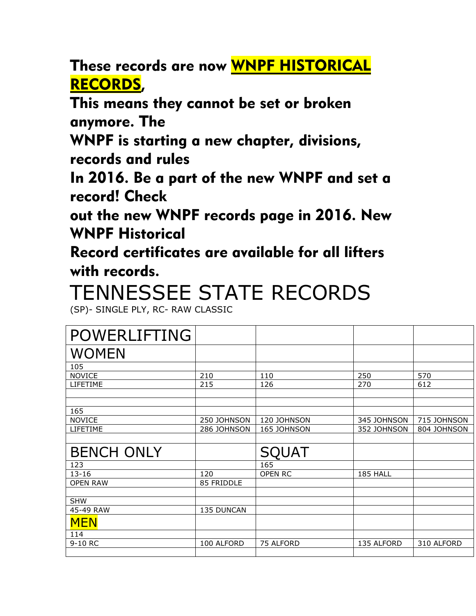These records are now WNPF HISTORICAL RECORDS,

This means they cannot be set or broken anymore. The

WNPF is starting a new chapter, divisions, records and rules

In 2016. Be a part of the new WNPF and set a record! Check

out the new WNPF records page in 2016. New WNPF Historical

Record certificates are available for all lifters with records.

## TENNESSEE STATE RECORDS

(SP)- SINGLE PLY, RC- RAW CLASSIC

| <b>POWERLIFTING</b> |             |              |             |             |
|---------------------|-------------|--------------|-------------|-------------|
| <b>WOMEN</b>        |             |              |             |             |
| 105                 |             |              |             |             |
| <b>NOVICE</b>       | 210         | 110          | 250         | 570         |
| LIFETIME            | 215         | 126          | 270         | 612         |
|                     |             |              |             |             |
|                     |             |              |             |             |
| 165                 |             |              |             |             |
| <b>NOVICE</b>       | 250 JOHNSON | 120 JOHNSON  | 345 JOHNSON | 715 JOHNSON |
| LIFETIME            | 286 JOHNSON | 165 JOHNSON  | 352 JOHNSON | 804 JOHNSON |
|                     |             |              |             |             |
|                     |             |              |             |             |
| <b>BENCH ONLY</b>   |             | <b>SQUAT</b> |             |             |
| 123                 |             | 165          |             |             |
| $13 - 16$           | 120         | OPEN RC      | 185 HALL    |             |
| <b>OPEN RAW</b>     | 85 FRIDDLE  |              |             |             |
|                     |             |              |             |             |
| <b>SHW</b>          |             |              |             |             |
| 45-49 RAW           | 135 DUNCAN  |              |             |             |
| <b>MEN</b>          |             |              |             |             |
| 114                 |             |              |             |             |
| 9-10 RC             | 100 ALFORD  | 75 ALFORD    | 135 ALFORD  | 310 ALFORD  |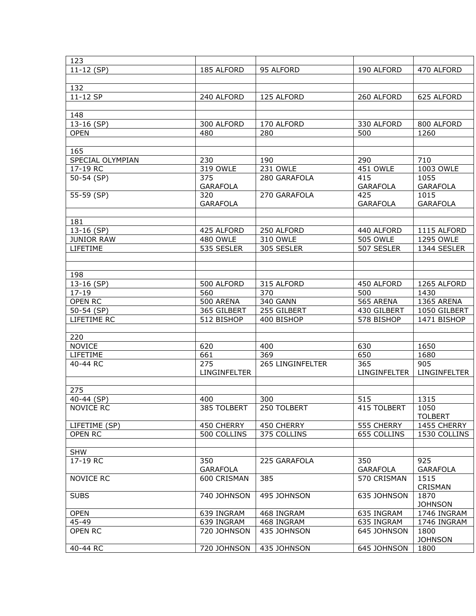| 123                  |                          |                          |                          |                            |
|----------------------|--------------------------|--------------------------|--------------------------|----------------------------|
| $11-12$ (SP)         | 185 ALFORD               | 95 ALFORD                | 190 ALFORD               | 470 ALFORD                 |
|                      |                          |                          |                          |                            |
| 132                  |                          |                          |                          |                            |
| 11-12 SP             | 240 ALFORD               | 125 ALFORD               | 260 ALFORD               | 625 ALFORD                 |
|                      |                          |                          |                          |                            |
| 148                  |                          |                          |                          |                            |
| 13-16 (SP)           | 300 ALFORD               | 170 ALFORD               | 330 ALFORD               | 800 ALFORD                 |
| <b>OPEN</b>          | 480                      | 280                      | 500                      | 1260                       |
|                      |                          |                          |                          |                            |
| 165                  |                          |                          |                          |                            |
| SPECIAL OLYMPIAN     | 230                      | 190                      | 290                      | 710                        |
| 17-19 RC             | 319 OWLE                 | 231 OWLE                 | 451 OWLE                 | 1003 OWLE                  |
| 50-54 (SP)           | 375                      | 280 GARAFOLA             | 415                      | 1055                       |
|                      | <b>GARAFOLA</b>          |                          | <b>GARAFOLA</b>          | <b>GARAFOLA</b>            |
| 55-59 (SP)           | 320                      | 270 GARAFOLA             | 425                      | 1015                       |
|                      | <b>GARAFOLA</b>          |                          | <b>GARAFOLA</b>          | <b>GARAFOLA</b>            |
| 181                  |                          |                          |                          |                            |
| 13-16 (SP)           | 425 ALFORD               | 250 ALFORD               | 440 ALFORD               | 1115 ALFORD                |
| <b>JUNIOR RAW</b>    | <b>480 OWLE</b>          | 310 OWLE                 | <b>505 OWLE</b>          | 1295 OWLE                  |
| LIFETIME             | 535 SESLER               | 305 SESLER               | 507 SESLER               | 1344 SESLER                |
|                      |                          |                          |                          |                            |
|                      |                          |                          |                          |                            |
| 198                  |                          |                          |                          |                            |
| 13-16 (SP)           | 500 ALFORD               | 315 ALFORD               | 450 ALFORD               | 1265 ALFORD                |
| $17 - 19$            | 560                      | 370                      | 500                      | 1430                       |
| <b>OPEN RC</b>       | 500 ARENA                | <b>340 GANN</b>          | 565 ARENA                | 1365 ARENA                 |
| $50-54$ (SP)         | 365 GILBERT              | 255 GILBERT              | 430 GILBERT              | 1050 GILBERT               |
| LIFETIME RC          | 512 BISHOP               | 400 BISHOP               | 578 BISHOP               | 1471 BISHOP                |
|                      |                          |                          |                          |                            |
| 220                  |                          |                          |                          |                            |
| <b>NOVICE</b>        | 620                      | 400                      | 630                      | 1650                       |
| LIFETIME             | 661                      | 369                      | 650                      | 1680                       |
| 40-44 RC             | 275<br>LINGINFELTER      | 265 LINGINFELTER         | 365<br>LINGINFELTER      | 905<br>LINGINFELTER        |
|                      |                          |                          |                          |                            |
| 275                  |                          |                          |                          |                            |
| 40-44 (SP)           | 400                      | 300                      | 515                      | 1315                       |
| <b>NOVICE RC</b>     | 385 TOLBERT              | 250 TOLBERT              | 415 TOLBERT              | 1050                       |
|                      |                          |                          |                          | <b>TOLBERT</b>             |
| LIFETIME (SP)        | 450 CHERRY               | 450 CHERRY               | 555 CHERRY               | 1455 CHERRY                |
| <b>OPEN RC</b>       | 500 COLLINS              | 375 COLLINS              | 655 COLLINS              | 1530 COLLINS               |
|                      |                          |                          |                          |                            |
| <b>SHW</b>           |                          |                          |                          |                            |
| 17-19 RC             | 350                      | 225 GARAFOLA             | 350                      | 925                        |
|                      | <b>GARAFOLA</b>          |                          | <b>GARAFOLA</b>          | <b>GARAFOLA</b>            |
| NOVICE RC            | 600 CRISMAN              | 385                      | 570 CRISMAN              | 1515                       |
|                      |                          |                          |                          | CRISMAN                    |
| <b>SUBS</b>          | 740 JOHNSON              | 495 JOHNSON              | 635 JOHNSON              | 1870                       |
|                      |                          |                          |                          | <b>JOHNSON</b>             |
| <b>OPEN</b><br>45-49 | 639 INGRAM<br>639 INGRAM | 468 INGRAM<br>468 INGRAM | 635 INGRAM<br>635 INGRAM | 1746 INGRAM<br>1746 INGRAM |
| OPEN RC              | 720 JOHNSON              | 435 JOHNSON              | 645 JOHNSON              | 1800                       |
|                      |                          |                          |                          | <b>JOHNSON</b>             |
| 40-44 RC             | 720 JOHNSON              | 435 JOHNSON              | 645 JOHNSON              | 1800                       |
|                      |                          |                          |                          |                            |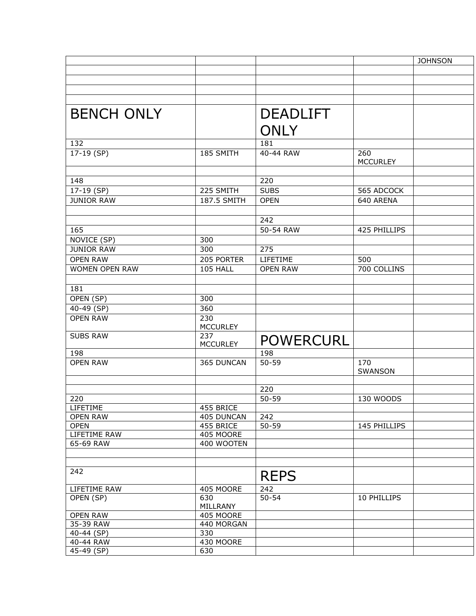|                   |                        |                  |                        | <b>JOHNSON</b> |
|-------------------|------------------------|------------------|------------------------|----------------|
|                   |                        |                  |                        |                |
|                   |                        |                  |                        |                |
|                   |                        |                  |                        |                |
|                   |                        |                  |                        |                |
| <b>BENCH ONLY</b> |                        | <b>DEADLIFT</b>  |                        |                |
|                   |                        | <b>ONLY</b>      |                        |                |
| 132               |                        | 181              |                        |                |
| 17-19 (SP)        | 185 SMITH              | 40-44 RAW        | 260<br><b>MCCURLEY</b> |                |
|                   |                        |                  |                        |                |
| 148               |                        | 220              |                        |                |
| 17-19 (SP)        | 225 SMITH              | <b>SUBS</b>      | 565 ADCOCK             |                |
| <b>JUNIOR RAW</b> | 187.5 SMITH            | <b>OPEN</b>      | 640 ARENA              |                |
|                   |                        |                  |                        |                |
|                   |                        | 242              |                        |                |
| 165               |                        | 50-54 RAW        | 425 PHILLIPS           |                |
| NOVICE (SP)       | 300                    |                  |                        |                |
| <b>JUNIOR RAW</b> | 300                    | 275              |                        |                |
| <b>OPEN RAW</b>   | 205 PORTER             | LIFETIME         | 500                    |                |
| WOMEN OPEN RAW    | 105 HALL               | <b>OPEN RAW</b>  | 700 COLLINS            |                |
|                   |                        |                  |                        |                |
| 181               |                        |                  |                        |                |
| OPEN (SP)         | 300                    |                  |                        |                |
| 40-49 (SP)        | 360                    |                  |                        |                |
| <b>OPEN RAW</b>   | 230<br><b>MCCURLEY</b> |                  |                        |                |
| <b>SUBS RAW</b>   | 237<br><b>MCCURLEY</b> | <b>POWERCURL</b> |                        |                |
| 198               |                        | 198              |                        |                |
| <b>OPEN RAW</b>   | 365 DUNCAN             | $50 - 59$        | 170<br>SWANSON         |                |
|                   |                        |                  |                        |                |
|                   |                        | 220              |                        |                |
| 220               |                        | 50-59            | 130 WOODS              |                |
| LIFETIME          | 455 BRICE              |                  |                        |                |
| <b>OPEN RAW</b>   | 405 DUNCAN             | 242              |                        |                |
| <b>OPEN</b>       | 455 BRICE              | $50 - 59$        | 145 PHILLIPS           |                |
| LIFETIME RAW      | 405 MOORE              |                  |                        |                |
| 65-69 RAW         | 400 WOOTEN             |                  |                        |                |
|                   |                        |                  |                        |                |
| 242               |                        | <b>REPS</b>      |                        |                |
| LIFETIME RAW      | 405 MOORE              | 242              |                        |                |
| OPEN (SP)         | 630<br>MILLRANY        | $50 - 54$        | 10 PHILLIPS            |                |
| <b>OPEN RAW</b>   | 405 MOORE              |                  |                        |                |
| 35-39 RAW         | 440 MORGAN             |                  |                        |                |
| 40-44 (SP)        | 330                    |                  |                        |                |
| 40-44 RAW         | 430 MOORE              |                  |                        |                |
| 45-49 (SP)        | 630                    |                  |                        |                |